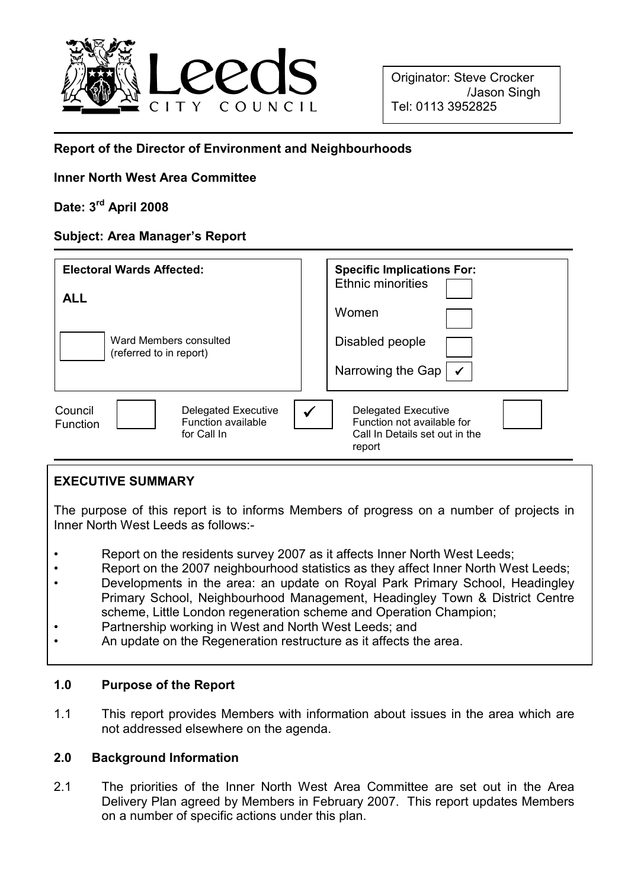

# Report of the Director of Environment and Neighbourhoods

# Inner North West Area Committee

# Date: 3rd April 2008

# Subject: Area Manager's Report

| <b>Electoral Wards Affected:</b><br><b>ALL</b><br>Ward Members consulted<br>(referred to in report) | <b>Specific Implications For:</b><br>Ethnic minorities<br>Women<br>Disabled people<br>Narrowing the Gap |
|-----------------------------------------------------------------------------------------------------|---------------------------------------------------------------------------------------------------------|
| Council<br><b>Delegated Executive</b><br>Function available<br>Function<br>for Call In              | <b>Delegated Executive</b><br>Function not available for<br>Call In Details set out in the<br>report    |

# EXECUTIVE SUMMARY

The purpose of this report is to informs Members of progress on a number of projects in Inner North West Leeds as follows:-

- Report on the residents survey 2007 as it affects Inner North West Leeds;
- Report on the 2007 neighbourhood statistics as they affect Inner North West Leeds;
- Developments in the area: an update on Royal Park Primary School, Headingley Primary School, Neighbourhood Management, Headingley Town & District Centre scheme, Little London regeneration scheme and Operation Champion;
- Partnership working in West and North West Leeds; and
- An update on the Regeneration restructure as it affects the area.

### 1.0 Purpose of the Report

1.1 This report provides Members with information about issues in the area which are not addressed elsewhere on the agenda.

### 2.0 Background Information

2.1 The priorities of the Inner North West Area Committee are set out in the Area Delivery Plan agreed by Members in February 2007. This report updates Members on a number of specific actions under this plan.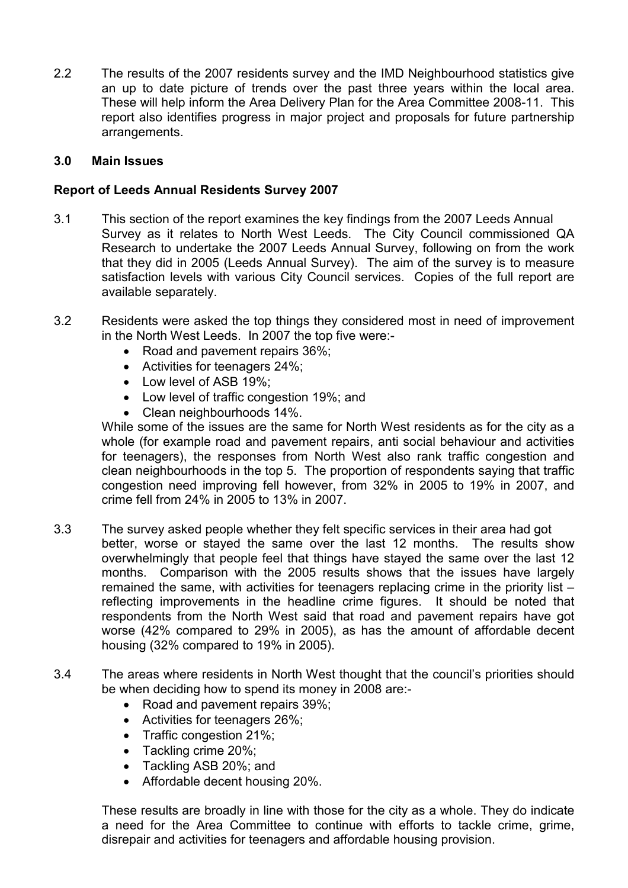2.2 The results of the 2007 residents survey and the IMD Neighbourhood statistics give an up to date picture of trends over the past three years within the local area. These will help inform the Area Delivery Plan for the Area Committee 2008-11. This report also identifies progress in major project and proposals for future partnership arrangements.

# 3.0 Main Issues

## Report of Leeds Annual Residents Survey 2007

- 3.1 This section of the report examines the key findings from the 2007 Leeds Annual Survey as it relates to North West Leeds. The City Council commissioned QA Research to undertake the 2007 Leeds Annual Survey, following on from the work that they did in 2005 (Leeds Annual Survey). The aim of the survey is to measure satisfaction levels with various City Council services. Copies of the full report are available separately.
- 3.2 Residents were asked the top things they considered most in need of improvement in the North West Leeds. In 2007 the top five were:-
	- Road and pavement repairs 36%;
	- Activities for teenagers 24%;
	- Low level of ASB 19%:
	- Low level of traffic congestion 19%; and
	- Clean neighbourhoods 14%.

 While some of the issues are the same for North West residents as for the city as a whole (for example road and pavement repairs, anti social behaviour and activities for teenagers), the responses from North West also rank traffic congestion and clean neighbourhoods in the top 5. The proportion of respondents saying that traffic congestion need improving fell however, from 32% in 2005 to 19% in 2007, and crime fell from 24% in 2005 to 13% in 2007.

- 3.3 The survey asked people whether they felt specific services in their area had got better, worse or stayed the same over the last 12 months. The results show overwhelmingly that people feel that things have stayed the same over the last 12 months. Comparison with the 2005 results shows that the issues have largely remained the same, with activities for teenagers replacing crime in the priority list – reflecting improvements in the headline crime figures. It should be noted that respondents from the North West said that road and pavement repairs have got worse (42% compared to 29% in 2005), as has the amount of affordable decent housing (32% compared to 19% in 2005).
- 3.4 The areas where residents in North West thought that the council's priorities should be when deciding how to spend its money in 2008 are:-
	- Road and pavement repairs 39%;
	- Activities for teenagers 26%;
	- Traffic congestion 21%:
	- Tackling crime 20%;
	- Tackling ASB 20%; and
	- Affordable decent housing 20%.

 These results are broadly in line with those for the city as a whole. They do indicate a need for the Area Committee to continue with efforts to tackle crime, grime, disrepair and activities for teenagers and affordable housing provision.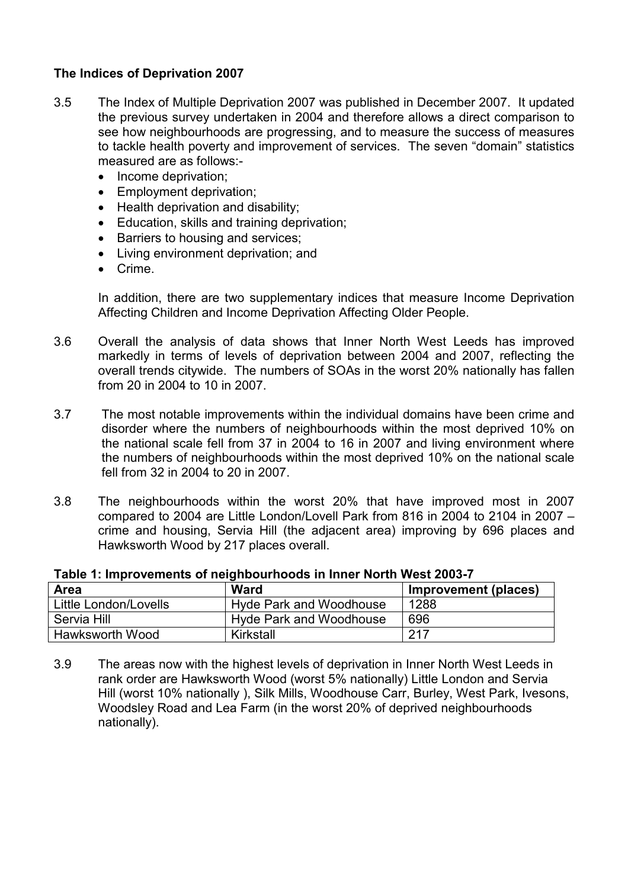# The Indices of Deprivation 2007

- 3.5 The Index of Multiple Deprivation 2007 was published in December 2007. It updated the previous survey undertaken in 2004 and therefore allows a direct comparison to see how neighbourhoods are progressing, and to measure the success of measures to tackle health poverty and improvement of services. The seven "domain" statistics measured are as follows:-
	- Income deprivation;
	- Employment deprivation;
	- Health deprivation and disability;
	- Education, skills and training deprivation;
	- Barriers to housing and services;
	- Living environment deprivation; and
	- Crime.

 In addition, there are two supplementary indices that measure Income Deprivation Affecting Children and Income Deprivation Affecting Older People.

- 3.6 Overall the analysis of data shows that Inner North West Leeds has improved markedly in terms of levels of deprivation between 2004 and 2007, reflecting the overall trends citywide. The numbers of SOAs in the worst 20% nationally has fallen from 20 in 2004 to 10 in 2007.
- 3.7 The most notable improvements within the individual domains have been crime and disorder where the numbers of neighbourhoods within the most deprived 10% on the national scale fell from 37 in 2004 to 16 in 2007 and living environment where the numbers of neighbourhoods within the most deprived 10% on the national scale fell from 32 in 2004 to 20 in 2007.
- 3.8 The neighbourhoods within the worst 20% that have improved most in 2007 compared to 2004 are Little London/Lovell Park from 816 in 2004 to 2104 in 2007 – crime and housing, Servia Hill (the adjacent area) improving by 696 places and Hawksworth Wood by 217 places overall.

| Area                  | <b>Ward</b>                    | Improvement (places) |
|-----------------------|--------------------------------|----------------------|
| Little London/Lovells | <b>Hyde Park and Woodhouse</b> | 1288                 |
| Servia Hill           | <b>Hyde Park and Woodhouse</b> | 696                  |
| Hawksworth Wood       | Kirkstall                      | 217                  |

#### Table 1: Improvements of neighbourhoods in Inner North West 2003-7

3.9 The areas now with the highest levels of deprivation in Inner North West Leeds in rank order are Hawksworth Wood (worst 5% nationally) Little London and Servia Hill (worst 10% nationally ), Silk Mills, Woodhouse Carr, Burley, West Park, Ivesons, Woodsley Road and Lea Farm (in the worst 20% of deprived neighbourhoods nationally).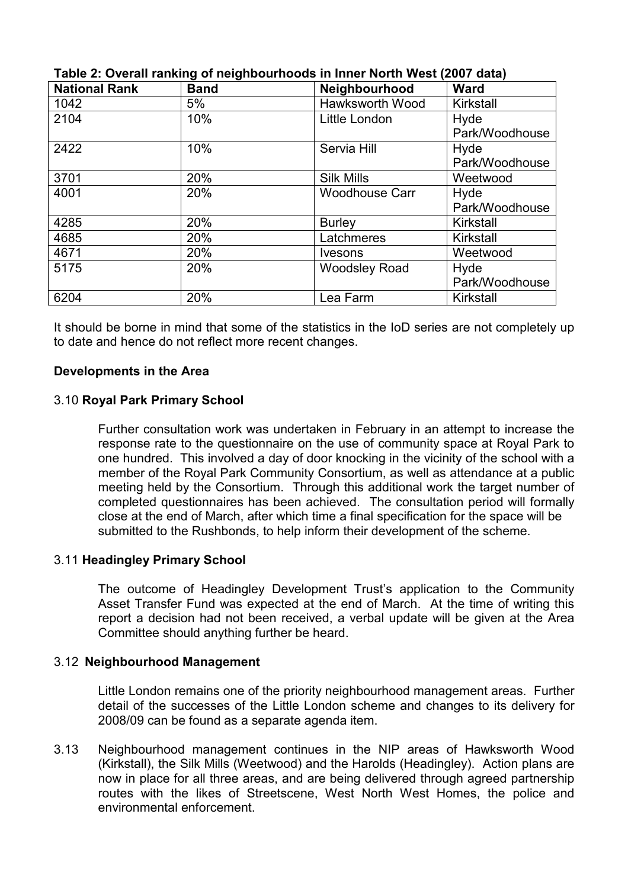| <b>National Rank</b> | <b>Band</b> | Neighbourhood         | <b>Ward</b>    |
|----------------------|-------------|-----------------------|----------------|
| 1042                 | 5%          | Hawksworth Wood       | Kirkstall      |
| 2104                 | 10%         | Little London         | Hyde           |
|                      |             |                       | Park/Woodhouse |
| 2422                 | 10%         | Servia Hill           | Hyde           |
|                      |             |                       | Park/Woodhouse |
| 3701                 | 20%         | <b>Silk Mills</b>     | Weetwood       |
| 4001                 | 20%         | <b>Woodhouse Carr</b> | Hyde           |
|                      |             |                       | Park/Woodhouse |
| 4285                 | 20%         | <b>Burley</b>         | Kirkstall      |
| 4685                 | 20%         | Latchmeres            | Kirkstall      |
| 4671                 | 20%         | <i>lvesons</i>        | Weetwood       |
| 5175                 | 20%         | <b>Woodsley Road</b>  | Hyde           |
|                      |             |                       | Park/Woodhouse |
| 6204                 | 20%         | Lea Farm              | Kirkstall      |

Table 2: Overall ranking of neighbourhoods in Inner North West (2007 data)

It should be borne in mind that some of the statistics in the IoD series are not completely up to date and hence do not reflect more recent changes.

### Developments in the Area

### 3.10 Royal Park Primary School

 Further consultation work was undertaken in February in an attempt to increase the response rate to the questionnaire on the use of community space at Royal Park to one hundred. This involved a day of door knocking in the vicinity of the school with a member of the Royal Park Community Consortium, as well as attendance at a public meeting held by the Consortium. Through this additional work the target number of completed questionnaires has been achieved. The consultation period will formally close at the end of March, after which time a final specification for the space will be submitted to the Rushbonds, to help inform their development of the scheme.

# 3.11 Headingley Primary School

The outcome of Headingley Development Trust's application to the Community Asset Transfer Fund was expected at the end of March. At the time of writing this report a decision had not been received, a verbal update will be given at the Area Committee should anything further be heard.

### 3.12 Neighbourhood Management

Little London remains one of the priority neighbourhood management areas. Further detail of the successes of the Little London scheme and changes to its delivery for 2008/09 can be found as a separate agenda item.

3.13 Neighbourhood management continues in the NIP areas of Hawksworth Wood (Kirkstall), the Silk Mills (Weetwood) and the Harolds (Headingley). Action plans are now in place for all three areas, and are being delivered through agreed partnership routes with the likes of Streetscene, West North West Homes, the police and environmental enforcement.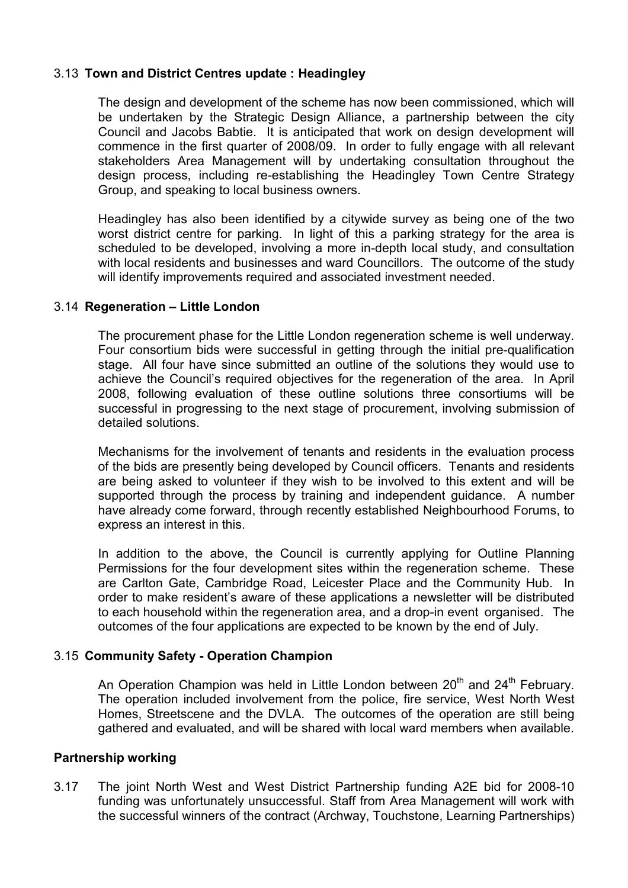# 3.13 Town and District Centres update : Headingley

The design and development of the scheme has now been commissioned, which will be undertaken by the Strategic Design Alliance, a partnership between the city Council and Jacobs Babtie. It is anticipated that work on design development will commence in the first quarter of 2008/09. In order to fully engage with all relevant stakeholders Area Management will by undertaking consultation throughout the design process, including re-establishing the Headingley Town Centre Strategy Group, and speaking to local business owners.

Headingley has also been identified by a citywide survey as being one of the two worst district centre for parking. In light of this a parking strategy for the area is scheduled to be developed, involving a more in-depth local study, and consultation with local residents and businesses and ward Councillors. The outcome of the study will identify improvements required and associated investment needed.

### 3.14 Regeneration – Little London

 The procurement phase for the Little London regeneration scheme is well underway. Four consortium bids were successful in getting through the initial pre-qualification stage. All four have since submitted an outline of the solutions they would use to achieve the Council's required objectives for the regeneration of the area. In April 2008, following evaluation of these outline solutions three consortiums will be successful in progressing to the next stage of procurement, involving submission of detailed solutions.

 Mechanisms for the involvement of tenants and residents in the evaluation process of the bids are presently being developed by Council officers. Tenants and residents are being asked to volunteer if they wish to be involved to this extent and will be supported through the process by training and independent guidance. A number have already come forward, through recently established Neighbourhood Forums, to express an interest in this.

 In addition to the above, the Council is currently applying for Outline Planning Permissions for the four development sites within the regeneration scheme. These are Carlton Gate, Cambridge Road, Leicester Place and the Community Hub. In order to make resident's aware of these applications a newsletter will be distributed to each household within the regeneration area, and a drop-in event organised. The outcomes of the four applications are expected to be known by the end of July.

### 3.15 Community Safety - Operation Champion

An Operation Champion was held in Little London between  $20<sup>th</sup>$  and  $24<sup>th</sup>$  February. The operation included involvement from the police, fire service, West North West Homes, Streetscene and the DVLA. The outcomes of the operation are still being gathered and evaluated, and will be shared with local ward members when available.

#### Partnership working

3.17 The joint North West and West District Partnership funding A2E bid for 2008-10 funding was unfortunately unsuccessful. Staff from Area Management will work with the successful winners of the contract (Archway, Touchstone, Learning Partnerships)